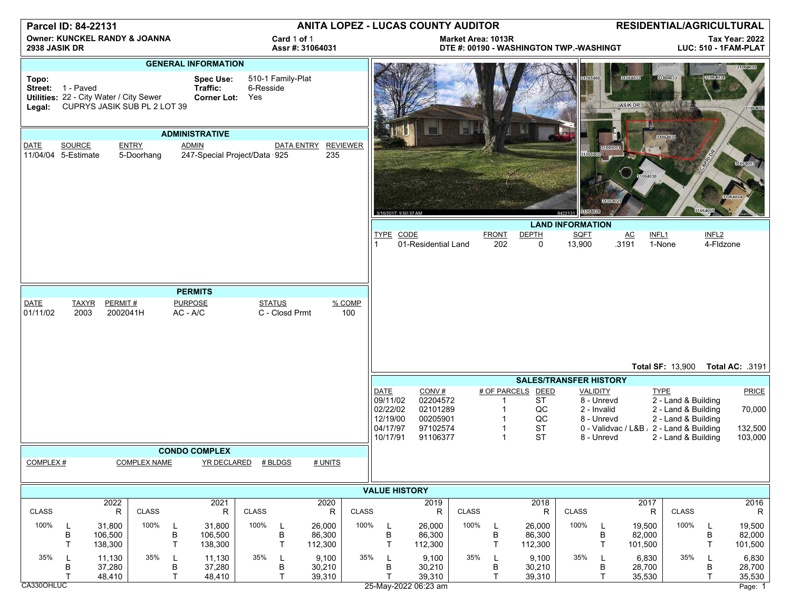| Parcel ID: 84-22131                                       |                                                                                              |                              |                            |             |                                                    | <b>ANITA LOPEZ - LUCAS COUNTY AUDITOR</b> |                        |                             |                 |                                                                         |                                                                   |              | RESIDENTIAL/AGRICULTURAL |                                                               |                     |                                                                   |                                          |                                                                                                         |                                |                                       |
|-----------------------------------------------------------|----------------------------------------------------------------------------------------------|------------------------------|----------------------------|-------------|----------------------------------------------------|-------------------------------------------|------------------------|-----------------------------|-----------------|-------------------------------------------------------------------------|-------------------------------------------------------------------|--------------|--------------------------|---------------------------------------------------------------|---------------------|-------------------------------------------------------------------|------------------------------------------|---------------------------------------------------------------------------------------------------------|--------------------------------|---------------------------------------|
| <b>Owner: KUNCKEL RANDY &amp; JOANNA</b><br>2938 JASIK DR |                                                                                              |                              |                            |             |                                                    | Card 1 of 1<br>Assr #: 31064031           |                        |                             |                 | Market Area: 1013R<br>DTE #: 00190 - WASHINGTON TWP.-WASHINGT           |                                                                   |              |                          |                                                               |                     | <b>Tax Year: 2022</b><br>LUC: 510 - 1FAM-PLAT                     |                                          |                                                                                                         |                                |                                       |
| <b>GENERAL INFORMATION</b>                                |                                                                                              |                              |                            |             |                                                    |                                           |                        |                             |                 |                                                                         |                                                                   |              |                          |                                                               |                     |                                                                   |                                          | 31004065                                                                                                |                                |                                       |
| Topo:<br>Legal:                                           | Street: 1 - Paved<br>Utilities: 22 - City Water / City Sewer<br>CUPRYS JASIK SUB PL 2 LOT 39 |                              |                            |             | <b>Spec Use:</b><br>Traffic:<br><b>Corner Lot:</b> | 6-Resside<br>Yes                          | 510-1 Family-Plat      |                             |                 |                                                                         |                                                                   |              |                          |                                                               |                     |                                                                   | 81064032<br><b>JASIK DR</b>              | 31064033                                                                                                |                                | 164000                                |
| <b>ADMINISTRATIVE</b>                                     |                                                                                              |                              |                            |             |                                                    |                                           |                        |                             |                 |                                                                         |                                                                   |              |                          |                                                               |                     |                                                                   | 31064081                                 |                                                                                                         |                                |                                       |
| DATE                                                      | SOURCE<br>11/04/04 5-Estimate                                                                |                              | <b>ENTRY</b><br>5-Doorhang |             | <b>ADMIN</b><br>247-Special Project/Data 925       |                                           | DATA ENTRY             | 235                         | <b>REVIEWER</b> | 3/10/2017, 9:50:37 AM                                                   |                                                                   |              |                          |                                                               | 31004028<br>8422131 | 1065001                                                           | 31064030                                 |                                                                                                         |                                | 31064003<br>31064004                  |
|                                                           |                                                                                              |                              |                            |             |                                                    |                                           |                        |                             |                 | <b>LAND INFORMATION</b>                                                 |                                                                   |              |                          |                                                               |                     |                                                                   |                                          |                                                                                                         |                                |                                       |
|                                                           |                                                                                              |                              |                            |             |                                                    |                                           |                        |                             |                 | TYPE CODE                                                               | 01-Residential Land                                               |              | <b>FRONT</b><br>202      | <b>DEPTH</b><br>$\mathbf 0$                                   | SQFT<br>13,900      |                                                                   | AC<br>INFL <sub>1</sub><br>.3191         | 1-None                                                                                                  | INFL <sub>2</sub><br>4-Fldzone |                                       |
|                                                           |                                                                                              |                              |                            |             |                                                    |                                           |                        |                             |                 |                                                                         |                                                                   |              |                          |                                                               |                     |                                                                   |                                          |                                                                                                         |                                |                                       |
| <b>DATE</b>                                               | <b>TAXYR</b>                                                                                 | PERMIT#                      |                            |             | <b>PERMITS</b><br><b>PURPOSE</b>                   |                                           | <b>STATUS</b>          |                             | % COMP          |                                                                         |                                                                   |              |                          |                                                               |                     |                                                                   |                                          |                                                                                                         |                                |                                       |
| 01/11/02                                                  | 2003                                                                                         | 2002041H                     |                            | $AC - A/C$  |                                                    |                                           | C - Closd Prmt         |                             | 100             |                                                                         |                                                                   |              |                          |                                                               |                     |                                                                   |                                          |                                                                                                         |                                | Total AC: .3191                       |
|                                                           |                                                                                              |                              |                            |             |                                                    |                                           |                        |                             |                 | <b>Total SF: 13,900</b><br><b>SALES/TRANSFER HISTORY</b>                |                                                                   |              |                          |                                                               |                     |                                                                   |                                          |                                                                                                         |                                |                                       |
|                                                           |                                                                                              |                              |                            |             |                                                    |                                           |                        |                             |                 | <b>DATE</b><br>09/11/02<br>02/22/02<br>12/19/00<br>04/17/97<br>10/17/91 | CONV#<br>02204572<br>02101289<br>00205901<br>97102574<br>91106377 |              | $\overline{1}$           | # OF PARCELS DEED<br><b>ST</b><br>QC<br>QC<br><b>ST</b><br>ST |                     | VALIDITY<br>8 - Unrevd<br>2 - Invalid<br>8 - Unrevd<br>8 - Unrevd | 0 - Validvac / L&B , 2 - Land & Building | <b>TYPE</b><br>2 - Land & Building<br>2 - Land & Building<br>2 - Land & Building<br>2 - Land & Building |                                | PRICE<br>70,000<br>132,500<br>103,000 |
|                                                           |                                                                                              |                              |                            |             | <b>CONDO COMPLEX</b>                               |                                           |                        |                             |                 |                                                                         |                                                                   |              |                          |                                                               |                     |                                                                   |                                          |                                                                                                         |                                |                                       |
| COMPLEX#                                                  |                                                                                              |                              | <b>COMPLEX NAME</b>        |             |                                                    | YR DECLARED # BLDGS                       |                        | # UNITS                     |                 |                                                                         |                                                                   |              |                          |                                                               |                     |                                                                   |                                          |                                                                                                         |                                |                                       |
|                                                           |                                                                                              |                              |                            |             |                                                    |                                           |                        | <b>VALUE HISTORY</b>        |                 |                                                                         |                                                                   |              |                          |                                                               |                     |                                                                   |                                          |                                                                                                         |                                |                                       |
| <b>CLASS</b>                                              |                                                                                              | 2022<br>${\sf R}$            | <b>CLASS</b>               |             | 2021<br>R                                          | CLASS                                     |                        | 2020<br>R                   | <b>CLASS</b>    |                                                                         | 2019<br>$\mathsf R$                                               | <b>CLASS</b> |                          | 2018<br>R                                                     | <b>CLASS</b>        |                                                                   | 2017<br>R                                | CLASS                                                                                                   |                                | 2016<br>$\mathsf R$                   |
| 100%                                                      | L<br>В<br>T                                                                                  | 31,800<br>106,500<br>138,300 | 100%                       | L<br>B<br>T | 31,800<br>106,500<br>138,300                       | 100%                                      | L<br>B<br>$\mathsf{T}$ | 26,000<br>86,300<br>112,300 | 100%            | L<br>B<br>T                                                             | 26,000<br>86,300<br>112,300                                       | 100%         | L<br>B<br>T              | 26,000<br>86,300<br>112,300                                   | 100%                | L<br>B<br>$\mathsf{T}$                                            | 19,500<br>82,000<br>101,500              | 100%                                                                                                    | L<br>В<br>$\mathsf{T}$         | 19,500<br>82,000<br>101,500           |
| 35%<br>CA330OHLUC                                         | В<br>Т                                                                                       | 11,130<br>37,280<br>48,410   | 35%                        | L<br>В<br>T | 11,130<br>37,280<br>48,410                         | 35%                                       | L<br>В<br>T.           | 9,100<br>30,210<br>39,310   | 35%             | L<br>В<br>$\mathsf{T}$                                                  | 9,100<br>30,210<br>39,310<br>25-May-2022 06:23 am                 | 35%          | В<br>T                   | 9,100<br>30,210<br>39,310                                     | 35%                 | L<br>B<br>$\mathsf{T}$                                            | 6,830<br>28,700<br>35,530                | 35%                                                                                                     | В<br>$\mathsf{T}$              | 6,830<br>28,700<br>35,530<br>Page: 1  |
|                                                           |                                                                                              |                              |                            |             |                                                    |                                           |                        |                             |                 |                                                                         |                                                                   |              |                          |                                                               |                     |                                                                   |                                          |                                                                                                         |                                |                                       |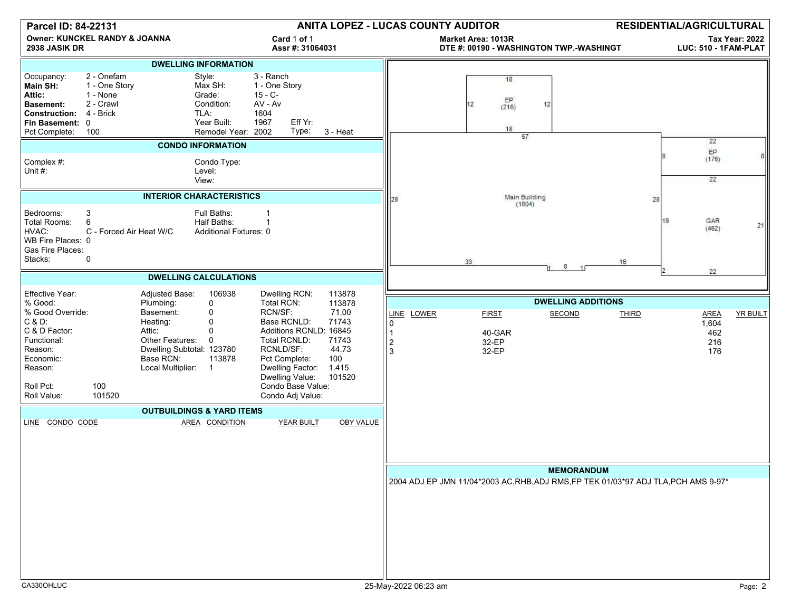| Parcel ID: 84-22131                                                                                                                                                                                                                                                                                                                                                                                                                                                                                                                                                                                                                   | ANITA LOPEZ - LUCAS COUNTY AUDITOR<br><b>RESIDENTIAL/AGRICULTURAL</b>                                                                                                                                                                     |
|---------------------------------------------------------------------------------------------------------------------------------------------------------------------------------------------------------------------------------------------------------------------------------------------------------------------------------------------------------------------------------------------------------------------------------------------------------------------------------------------------------------------------------------------------------------------------------------------------------------------------------------|-------------------------------------------------------------------------------------------------------------------------------------------------------------------------------------------------------------------------------------------|
| <b>Owner: KUNCKEL RANDY &amp; JOANNA</b><br>Card 1 of 1<br>2938 JASIK DR<br>Assr #: 31064031                                                                                                                                                                                                                                                                                                                                                                                                                                                                                                                                          | <b>Tax Year: 2022</b><br>Market Area: 1013R<br>DTE #: 00190 - WASHINGTON TWP.-WASHINGT<br>LUC: 510 - 1FAM-PLAT                                                                                                                            |
| <b>DWELLING INFORMATION</b>                                                                                                                                                                                                                                                                                                                                                                                                                                                                                                                                                                                                           |                                                                                                                                                                                                                                           |
| 2 - Onefam<br>3 - Ranch<br>Style:<br>Occupancy:<br>Max SH:<br>1 - One Story<br>1 - One Story<br>Main SH:<br>$15 - C -$<br>Attic:<br>Grade:<br>1 - None<br>2 - Crawl<br>Condition:<br>AV - Av<br><b>Basement:</b><br>4 - Brick<br>TLA:<br>1604<br><b>Construction:</b><br>Eff Yr:<br>Year Built:<br>1967<br>Fin Basement: 0<br>Type:<br>Remodel Year: 2002<br>3 - Heat<br>Pct Complete: 100                                                                                                                                                                                                                                            | 18<br>EP<br>12<br>12<br>(216)<br>18<br>57                                                                                                                                                                                                 |
| <b>CONDO INFORMATION</b>                                                                                                                                                                                                                                                                                                                                                                                                                                                                                                                                                                                                              | 22<br>$\mathsf{EP}$                                                                                                                                                                                                                       |
| Complex #:<br>Condo Type:<br>Unit #:<br>Level:<br>View:                                                                                                                                                                                                                                                                                                                                                                                                                                                                                                                                                                               | (176)<br>22                                                                                                                                                                                                                               |
| <b>INTERIOR CHARACTERISTICS</b>                                                                                                                                                                                                                                                                                                                                                                                                                                                                                                                                                                                                       | Main Building<br>28<br>28<br>(1604)                                                                                                                                                                                                       |
| 3<br>Bedrooms:<br>Full Baths:<br>$\overline{1}$<br>6<br>Total Rooms:<br>Half Baths:<br>C - Forced Air Heat W/C<br>HVAC:<br>Additional Fixtures: 0<br>WB Fire Places: 0<br>Gas Fire Places:<br>Stacks:<br>0                                                                                                                                                                                                                                                                                                                                                                                                                            | GAR<br>19<br>21<br>(462)<br>33<br>16<br>8                                                                                                                                                                                                 |
| <b>DWELLING CALCULATIONS</b>                                                                                                                                                                                                                                                                                                                                                                                                                                                                                                                                                                                                          | 22                                                                                                                                                                                                                                        |
| Effective Year:<br>Adjusted Base:<br>106938<br>Dwelling RCN:<br>113878                                                                                                                                                                                                                                                                                                                                                                                                                                                                                                                                                                |                                                                                                                                                                                                                                           |
| 113878<br>% Good:<br>Plumbing:<br>0<br>Total RCN:<br>% Good Override:<br>RCN/SF:<br>Basement:<br>0<br>71.00<br>$C & D$ :<br>Base RCNLD:<br>71743<br>Heating:<br>$\Omega$<br>C & D Factor:<br>Attic:<br>Additions RCNLD: 16845<br>$\Omega$<br>Functional:<br>Other Features:<br>0<br>Total RCNLD:<br>71743<br>Dwelling Subtotal: 123780<br>RCNLD/SF:<br>44.73<br>Reason:<br>Economic:<br>Base RCN:<br>113878<br>Pct Complete:<br>100<br>1.415<br>Reason:<br>Local Multiplier:<br>Dwelling Factor:<br>$\overline{1}$<br>Dwelling Value:<br>101520<br>Roll Pct:<br>100<br>Condo Base Value:<br>101520<br>Roll Value:<br>Condo Adj Value: | <b>DWELLING ADDITIONS</b><br>LINE LOWER<br><b>FIRST</b><br><b>SECOND</b><br><b>YR BUILT</b><br><b>THIRD</b><br><b>AREA</b><br>0<br>1,604<br>$\mathbf{1}$<br>40-GAR<br>462<br>$\overline{\mathbf{c}}$<br>32-EP<br>216<br>3<br>32-EP<br>176 |
| <b>OUTBUILDINGS &amp; YARD ITEMS</b>                                                                                                                                                                                                                                                                                                                                                                                                                                                                                                                                                                                                  |                                                                                                                                                                                                                                           |
| <b>YEAR BUILT</b><br><b>OBY VALUE</b><br>LINE CONDO CODE<br>AREA CONDITION                                                                                                                                                                                                                                                                                                                                                                                                                                                                                                                                                            | <b>MEMORANDUM</b><br>2004 ADJ EP JMN 11/04*2003 AC, RHB, ADJ RMS, FP TEK 01/03*97 ADJ TLA, PCH AMS 9-97*                                                                                                                                  |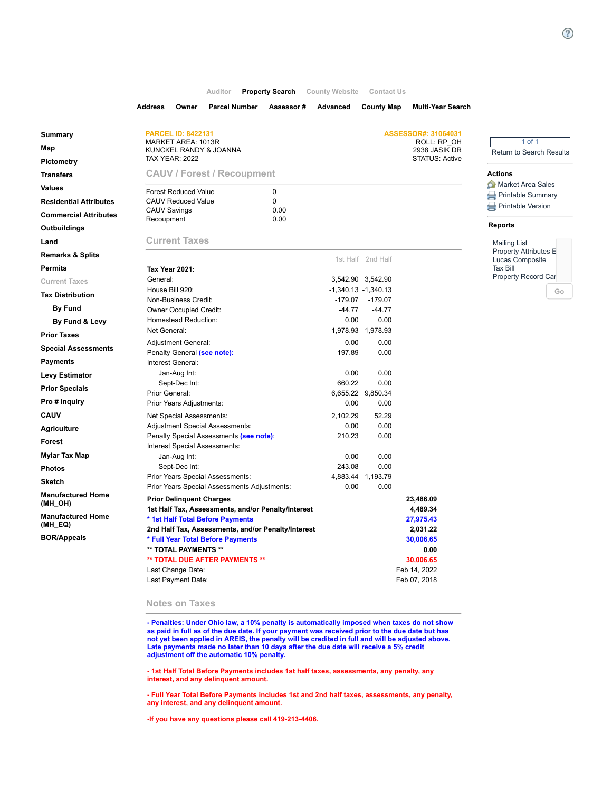## **[Auditor](https://icare.co.lucas.oh.us/LucasCare/main/homepage.aspx) [Property Search](https://icare.co.lucas.oh.us/LucasCare/search/commonsearch.aspx?mode=address) [County Website](https://icare.co.lucas.oh.us/LucasCare/forms/externallink.aspx?mode=https://co.lucas.oh.us/index.aspx?nid=331) [Contact Us](https://icare.co.lucas.oh.us/LucasCare/forms/externallink.aspx?mode=https://www.co.lucas.oh.us/directory.aspx?did=16)**

|                               | <b>Address</b><br>Owner<br><b>Parcel Number</b>                                       | Assessor#     | Advanced  | <b>County Map</b>                  | <b>Multi-Year Search</b>               |                                          |  |  |
|-------------------------------|---------------------------------------------------------------------------------------|---------------|-----------|------------------------------------|----------------------------------------|------------------------------------------|--|--|
| Summary                       | <b>PARCEL ID: 8422131</b>                                                             |               |           |                                    | ASSESSOR#: 31064031                    |                                          |  |  |
|                               | MARKET AREA: 1013R                                                                    |               |           |                                    | ROLL: RP OH                            | $1$ of $1$                               |  |  |
| Map<br>Pictometry             | KUNCKEL RANDY & JOANNA<br><b>TAX YEAR: 2022</b>                                       |               |           |                                    | 2938 JASIK DR<br><b>STATUS: Active</b> | <b>Return to Search Results</b>          |  |  |
| <b>Transfers</b>              | <b>CAUV / Forest / Recoupment</b>                                                     |               |           |                                    |                                        | <b>Actions</b>                           |  |  |
| <b>Values</b>                 |                                                                                       |               |           |                                    |                                        | Market Area Sales                        |  |  |
| <b>Residential Attributes</b> | <b>Forest Reduced Value</b><br><b>CAUV Reduced Value</b>                              | 0<br>$\Omega$ |           |                                    |                                        | Printable Summary                        |  |  |
| <b>Commercial Attributes</b>  | <b>CAUV Savings</b>                                                                   | 0.00          |           |                                    |                                        | <b>Printable Version</b>                 |  |  |
|                               | Recoupment                                                                            | 0.00          |           |                                    |                                        | <b>Reports</b>                           |  |  |
| Outbuildings                  |                                                                                       |               |           |                                    |                                        |                                          |  |  |
| Land                          | <b>Current Taxes</b>                                                                  |               |           |                                    |                                        | <b>Mailing List</b>                      |  |  |
| <b>Remarks &amp; Splits</b>   |                                                                                       |               |           | 1st Half 2nd Half                  |                                        | Property Attributes E<br>Lucas Composite |  |  |
| <b>Permits</b>                | <b>Tax Year 2021:</b>                                                                 |               |           |                                    |                                        | <b>Tax Bill</b>                          |  |  |
| <b>Current Taxes</b>          | General:                                                                              |               |           | 3,542.90 3,542.90                  |                                        | Property Record Car                      |  |  |
| <b>Tax Distribution</b>       | House Bill 920:<br>Non-Business Credit:                                               |               | $-179.07$ | $-1,340.13 -1,340.13$<br>$-179.07$ |                                        | Go                                       |  |  |
| <b>By Fund</b>                | <b>Owner Occupied Credit:</b>                                                         |               | $-44.77$  | $-44.77$                           |                                        |                                          |  |  |
| By Fund & Levy                | Homestead Reduction:                                                                  |               | 0.00      | 0.00                               |                                        |                                          |  |  |
| <b>Prior Taxes</b>            | Net General:                                                                          |               |           | 1,978.93 1,978.93                  |                                        |                                          |  |  |
|                               | <b>Adjustment General:</b>                                                            |               | 0.00      | 0.00                               |                                        |                                          |  |  |
| <b>Special Assessments</b>    | Penalty General (see note):                                                           |               | 197.89    | 0.00                               |                                        |                                          |  |  |
| <b>Payments</b>               | Interest General:                                                                     |               |           |                                    |                                        |                                          |  |  |
| <b>Levy Estimator</b>         | Jan-Aug Int:                                                                          |               | 0.00      | 0.00                               |                                        |                                          |  |  |
| <b>Prior Specials</b>         | Sept-Dec Int:<br>Prior General:                                                       |               | 660.22    | 0.00<br>6,655.22 9,850.34          |                                        |                                          |  |  |
| Pro # Inquiry                 | Prior Years Adjustments:                                                              |               | 0.00      | 0.00                               |                                        |                                          |  |  |
| <b>CAUV</b>                   | Net Special Assessments:                                                              |               | 2,102.29  | 52.29                              |                                        |                                          |  |  |
| <b>Agriculture</b>            | <b>Adjustment Special Assessments:</b>                                                |               | 0.00      | 0.00                               |                                        |                                          |  |  |
| Forest                        | Penalty Special Assessments (see note):                                               |               | 210.23    | 0.00                               |                                        |                                          |  |  |
| Mylar Tax Map                 | Interest Special Assessments:<br>Jan-Aug Int:                                         |               | 0.00      | 0.00                               |                                        |                                          |  |  |
| <b>Photos</b>                 | Sept-Dec Int:                                                                         |               | 243.08    | 0.00                               |                                        |                                          |  |  |
| <b>Sketch</b>                 | Prior Years Special Assessments:                                                      |               |           | 4,883.44 1,193.79                  |                                        |                                          |  |  |
| <b>Manufactured Home</b>      | Prior Years Special Assessments Adjustments:                                          |               | 0.00      | 0.00                               |                                        |                                          |  |  |
| (MH_OH)                       | <b>Prior Delinquent Charges</b><br>1st Half Tax, Assessments, and/or Penalty/Interest |               |           |                                    | 23,486.09<br>4,489.34                  |                                          |  |  |
| <b>Manufactured Home</b>      | * 1st Half Total Before Payments                                                      |               |           |                                    | 27,975.43                              |                                          |  |  |
| (MH_EQ)                       | 2nd Half Tax, Assessments, and/or Penalty/Interest                                    |               |           |                                    | 2,031.22                               |                                          |  |  |
| <b>BOR/Appeals</b>            | * Full Year Total Before Payments                                                     |               |           |                                    | 30,006.65                              |                                          |  |  |
|                               | ** TOTAL PAYMENTS **                                                                  |               |           |                                    | 0.00                                   |                                          |  |  |
|                               | ** TOTAL DUE AFTER PAYMENTS **                                                        |               |           |                                    | 30,006.65                              |                                          |  |  |
|                               | Last Change Date:                                                                     |               |           |                                    | Feb 14, 2022                           |                                          |  |  |
|                               | Last Payment Date:                                                                    |               |           |                                    | Feb 07, 2018                           |                                          |  |  |

## **Notes on Taxes**

**- Penalties: Under Ohio law, a 10% penalty is automatically imposed when taxes do not show as paid in full as of the due date. If your payment was received prior to the due date but has not yet been applied in AREIS, the penalty will be credited in full and will be adjusted above. Late payments made no later than 10 days after the due date will receive a 5% credit adjustment off the automatic 10% penalty.**

**- 1st Half Total Before Payments includes 1st half taxes, assessments, any penalty, any interest, and any delinquent amount.**

**- Full Year Total Before Payments includes 1st and 2nd half taxes, assessments, any penalty, any interest, and any delinquent amount.** 

**-If you have any questions please call 419-213-4406.**